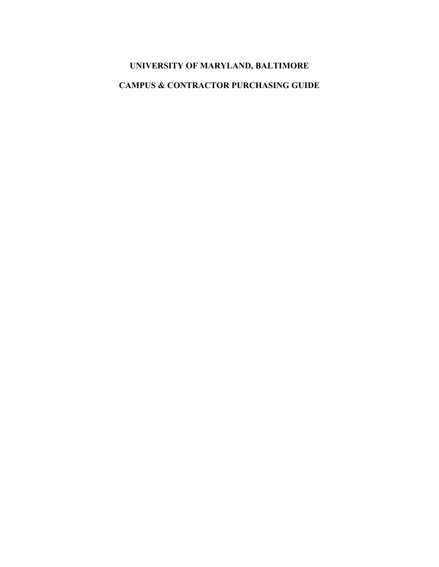# **UNIVERSITY OF MARYLAND, BALTIMORE**

# **CAMPUS & CONTRACTOR PURCHASING GUIDE**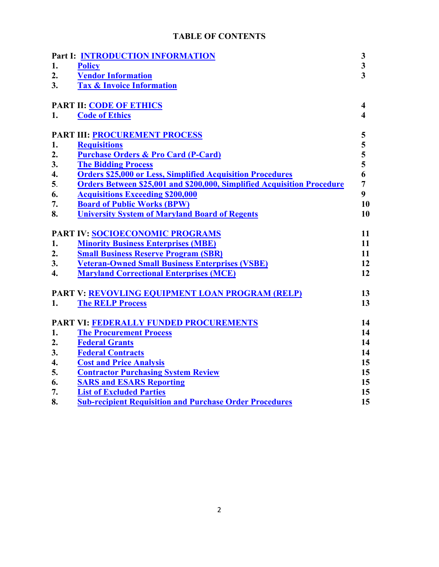# **TABLE OF CONTENTS**

|                    | Part I: INTRODUCTION INFORMATION                                        | $\mathbf{3}$            |
|--------------------|-------------------------------------------------------------------------|-------------------------|
| 1.                 | <b>Policy</b>                                                           | $\overline{\mathbf{3}}$ |
| 2.                 | <b>Vendor Information</b>                                               | $\overline{3}$          |
| 3.                 | <b>Tax &amp; Invoice Information</b>                                    |                         |
|                    | <b>PART II: CODE OF ETHICS</b>                                          | $\overline{\mathbf{4}}$ |
| 1.                 | <b>Code of Ethics</b>                                                   | $\overline{\mathbf{4}}$ |
|                    | <b>PART III: PROCUREMENT PROCESS</b>                                    | 5                       |
| 1.                 | <b>Requisitions</b>                                                     | 5                       |
| 2.                 | <b>Purchase Orders &amp; Pro Card (P-Card)</b>                          | 5                       |
| 3.                 | <b>The Bidding Process</b>                                              | 5                       |
| $\boldsymbol{4}$ . | <b>Orders \$25,000 or Less, Simplified Acquisition Procedures</b>       | 6                       |
| 5.                 | Orders Between \$25,001 and \$200,000, Simplified Acquisition Procedure | $\overline{7}$          |
| 6.                 | <b>Acquisitions Exceeding \$200,000</b>                                 | $\boldsymbol{9}$        |
| 7.                 | <b>Board of Public Works (BPW)</b>                                      | 10                      |
| 8.                 | <b>University System of Maryland Board of Regents</b>                   | 10                      |
|                    | PART IV: SOCIOECONOMIC PROGRAMS                                         | 11                      |
| 1.                 | <b>Minority Business Enterprises (MBE)</b>                              | 11                      |
| 2.                 | <b>Small Business Reserve Program (SBR)</b>                             | 11                      |
| 3.                 | <b>Veteran-Owned Small Business Enterprises (VSBE)</b>                  | 12                      |
| $\overline{4}$ .   | <b>Maryland Correctional Enterprises (MCE)</b>                          | 12                      |
|                    | PART V: REVOVLING EQUIPMENT LOAN PROGRAM (RELP)                         | 13                      |
| 1.                 | <b>The RELP Process</b>                                                 | 13                      |
|                    |                                                                         |                         |
|                    | <b>PART VI: FEDERALLY FUNDED PROCUREMENTS</b>                           | 14                      |
| 1.                 | <b>The Procurement Process</b>                                          | 14                      |
| 2.                 | <b>Federal Grants</b>                                                   | 14                      |
| 3.                 | <b>Federal Contracts</b>                                                | 14                      |
| 4.                 | <b>Cost and Price Analysis</b>                                          | 15                      |
| 5.                 | <b>Contractor Purchasing System Review</b>                              | 15                      |
| 6.                 | <b>SARS and ESARS Reporting</b>                                         | 15                      |
| 7.                 | <b>List of Excluded Parties</b>                                         | 15                      |
| 8.                 | <b>Sub-recipient Requisition and Purchase Order Procedures</b>          | 15                      |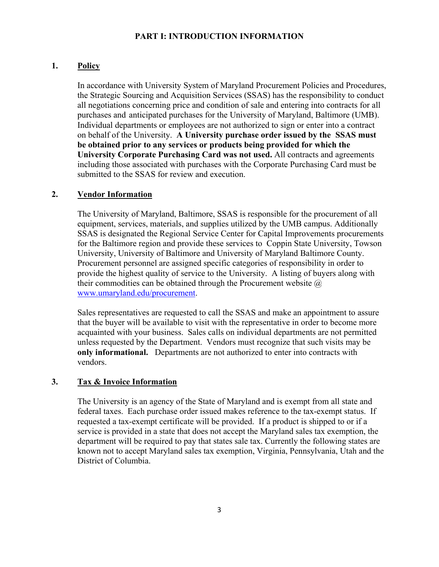#### **PART I: INTRODUCTION INFORMATION**

### <span id="page-2-0"></span>**1. Policy**

<span id="page-2-1"></span>In accordance with University System of Maryland Procurement Policies and Procedures, the Strategic Sourcing and Acquisition Services (SSAS) has the responsibility to conduct all negotiations concerning price and condition of sale and entering into contracts for all purchases and anticipated purchases for the University of Maryland, Baltimore (UMB). Individual departments or employees are not authorized to sign or enter into a contract on behalf of the University. **A University purchase order issued by the SSAS must be obtained prior to any services or products being provided for which the University Corporate Purchasing Card was not used.** All contracts and agreements including those associated with purchases with the Corporate Purchasing Card must be submitted to the SSAS for review and execution.

### **2. Vendor Information**

<span id="page-2-2"></span>The University of Maryland, Baltimore, SSAS is responsible for the procurement of all equipment, services, materials, and supplies utilized by the UMB campus. Additionally SSAS is designated the Regional Service Center for Capital Improvements procurements for the Baltimore region and provide these services to Coppin State University, Towson University, University of Baltimore and University of Maryland Baltimore County. Procurement personnel are assigned specific categories of responsibility in order to provide the highest quality of service to the University. A listing of buyers along with their commodities can be obtained through the Procurement website  $\omega$ [www.umaryland.edu/procurement.](http://www.umaryland.edu/procurement)

Sales representatives are requested to call the SSAS and make an appointment to assure that the buyer will be available to visit with the representative in order to become more acquainted with your business. Sales calls on individual departments are not permitted unless requested by the Department. Vendors must recognize that such visits may be **only informational.** Departments are not authorized to enter into contracts with vendors.

#### **3. Tax & Invoice Information**

<span id="page-2-3"></span>The University is an agency of the State of Maryland and is exempt from all state and federal taxes. Each purchase order issued makes reference to the tax-exempt status. If requested a tax-exempt certificate will be provided. If a product is shipped to or if a service is provided in a state that does not accept the Maryland sales tax exemption, the department will be required to pay that states sale tax. Currently the following states are known not to accept Maryland sales tax exemption, Virginia, Pennsylvania, Utah and the District of Columbia.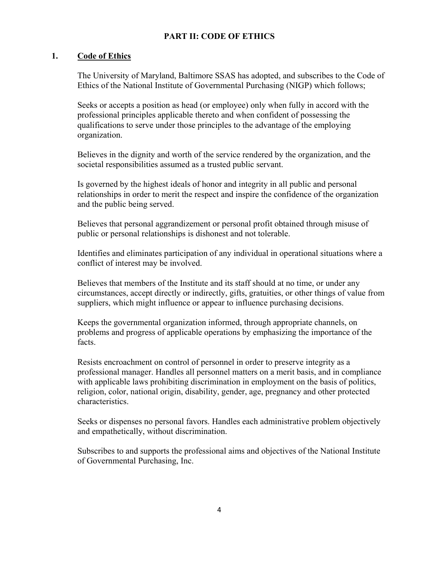### **PART II: CODE OF ETHICS**

### <span id="page-3-0"></span>**1. Code of Ethics**

<span id="page-3-1"></span>The University of Maryland, Baltimore SSAS has adopted, and subscribes to the Code of Ethics of the National Institute of Governmental Purchasing (NIGP) which follows;

Seeks or accepts a position as head (or employee) only when fully in accord with the professional principles applicable thereto and when confident of possessing the qualifications to serve under those principles to the advantage of the employing organization.

Believes in the dignity and worth of the service rendered by the organization, and the societal responsibilities assumed as a trusted public servant.

Is governed by the highest ideals of honor and integrity in all public and personal relationships in order to merit the respect and inspire the confidence of the organization and the public being served.

Believes that personal aggrandizement or personal profit obtained through misuse of public or personal relationships is dishonest and not tolerable.

Identifies and eliminates participation of any individual in operational situations where a conflict of interest may be involved.

Believes that members of the Institute and its staff should at no time, or under any circumstances, accept directly or indirectly, gifts, gratuities, or other things of value from suppliers, which might influence or appear to influence purchasing decisions.

Keeps the governmental organization informed, through appropriate channels, on problems and progress of applicable operations by emphasizing the importance of the facts.

Resists encroachment on control of personnel in order to preserve integrity as a professional manager. Handles all personnel matters on a merit basis, and in compliance with applicable laws prohibiting discrimination in employment on the basis of politics, religion, color, national origin, disability, gender, age, pregnancy and other protected characteristics.

Seeks or dispenses no personal favors. Handles each administrative problem objectively and empathetically, without discrimination.

Subscribes to and supports the professional aims and objectives of the National Institute of Governmental Purchasing, Inc.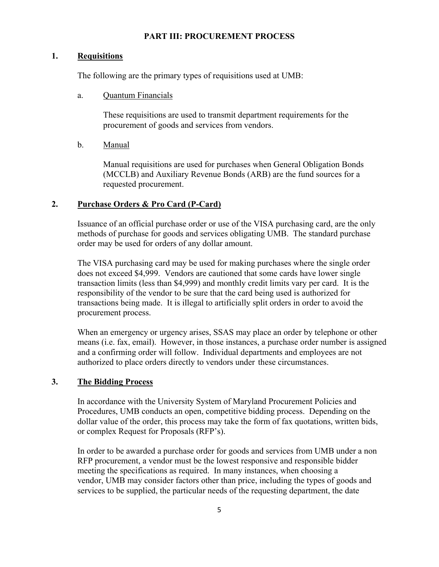#### **PART III: PROCUREMENT PROCESS**

### <span id="page-4-0"></span>**1. Requisitions**

<span id="page-4-1"></span>The following are the primary types of requisitions used at UMB:

#### a. Quantum Financials

These requisitions are used to transmit department requirements for the procurement of goods and services from vendors.

b. Manual

Manual requisitions are used for purchases when General Obligation Bonds (MCCLB) and Auxiliary Revenue Bonds (ARB) are the fund sources for a requested procurement.

#### **2. Purchase Orders & Pro Card (P-Card)**

<span id="page-4-2"></span>Issuance of an official purchase order or use of the VISA purchasing card, are the only methods of purchase for goods and services obligating UMB. The standard purchase order may be used for orders of any dollar amount.

The VISA purchasing card may be used for making purchases where the single order does not exceed \$4,999. Vendors are cautioned that some cards have lower single transaction limits (less than \$4,999) and monthly credit limits vary per card. It is the responsibility of the vendor to be sure that the card being used is authorized for transactions being made. It is illegal to artificially split orders in order to avoid the procurement process.

When an emergency or urgency arises, SSAS may place an order by telephone or other means (i.e. fax, email). However, in those instances, a purchase order number is assigned and a confirming order will follow. Individual departments and employees are not authorized to place orders directly to vendors under these circumstances.

### **3. The Bidding Process**

<span id="page-4-3"></span>In accordance with the University System of Maryland Procurement Policies and Procedures, UMB conducts an open, competitive bidding process. Depending on the dollar value of the order, this process may take the form of fax quotations, written bids, or complex Request for Proposals (RFP's).

In order to be awarded a purchase order for goods and services from UMB under a non RFP procurement, a vendor must be the lowest responsive and responsible bidder meeting the specifications as required. In many instances, when choosing a vendor, UMB may consider factors other than price, including the types of goods and services to be supplied, the particular needs of the requesting department, the date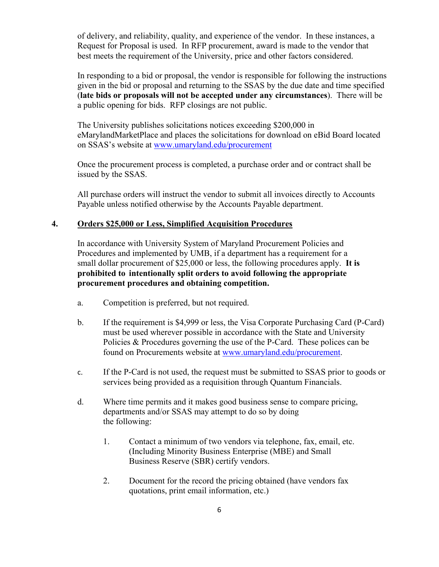of delivery, and reliability, quality, and experience of the vendor. In these instances, a Request for Proposal is used. In RFP procurement, award is made to the vendor that best meets the requirement of the University, price and other factors considered.

In responding to a bid or proposal, the vendor is responsible for following the instructions given in the bid or proposal and returning to the SSAS by the due date and time specified (**late bids or proposals will not be accepted under any circumstances**). There will be a public opening for bids. RFP closings are not public.

The University publishes solicitations notices exceeding \$200,000 in eMarylandMarketPlace and places the solicitations for download on eBid Board located on SSAS's website at [www.umaryland.edu/procurement](http://www.umaryland.edu/procurement)

Once the procurement process is completed, a purchase order and or contract shall be issued by the SSAS.

All purchase orders will instruct the vendor to submit all invoices directly to Accounts Payable unless notified otherwise by the Accounts Payable department.

### **4. Orders \$25,000 or Less, Simplified Acquisition Procedures**

<span id="page-5-0"></span>In accordance with University System of Maryland Procurement Policies and Procedures and implemented by UMB, if a department has a requirement for a small dollar procurement of \$25,000 or less, the following procedures apply. **It is prohibited to intentionally split orders to avoid following the appropriate procurement procedures and obtaining competition.**

- a. Competition is preferred, but not required.
- b. If the requirement is \$4,999 or less, the Visa Corporate Purchasing Card (P-Card) must be used wherever possible in accordance with the State and University Policies & Procedures governing the use of the P-Card. These polices can be found on Procurements website at [www.umaryland.edu/procurement.](http://www.umaryland.edu/procurement)
- c. If the P-Card is not used, the request must be submitted to SSAS prior to goods or services being provided as a requisition through Quantum Financials.
- d. Where time permits and it makes good business sense to compare pricing, departments and/or SSAS may attempt to do so by doing the following:
	- 1. Contact a minimum of two vendors via telephone, fax, email, etc. (Including Minority Business Enterprise (MBE) and Small Business Reserve (SBR) certify vendors.
	- 2. Document for the record the pricing obtained (have vendors fax quotations, print email information, etc.)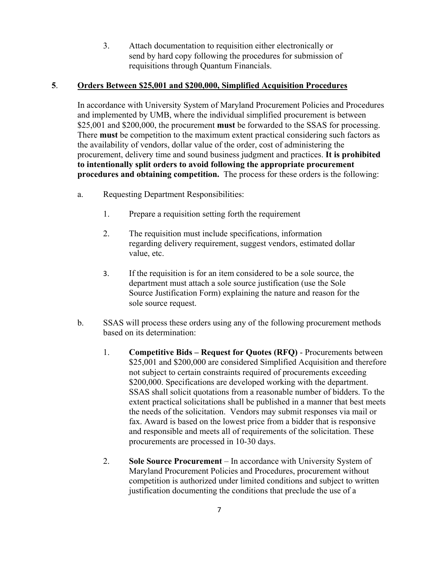3. Attach documentation to requisition either electronically or send by hard copy following the procedures for submission of requisitions through Quantum Financials.

# **5**. **Orders Between \$25,001 and \$200,000, Simplified Acquisition Procedures**

<span id="page-6-0"></span>In accordance with University System of Maryland Procurement Policies and Procedures and implemented by UMB, where the individual simplified procurement is between \$25,001 and \$200,000, the procurement **must** be forwarded to the SSAS for processing. There **must** be competition to the maximum extent practical considering such factors as the availability of vendors, dollar value of the order, cost of administering the procurement, delivery time and sound business judgment and practices. **It is prohibited to intentionally split orders to avoid following the appropriate procurement procedures and obtaining competition.** The process for these orders is the following:

- a. Requesting Department Responsibilities:
	- 1. Prepare a requisition setting forth the requirement
	- 2. The requisition must include specifications, information regarding delivery requirement, suggest vendors, estimated dollar value, etc.
	- 3. If the requisition is for an item considered to be a sole source, the department must attach a sole source justification (use the Sole Source Justification Form) explaining the nature and reason for the sole source request.
- b. SSAS will process these orders using any of the following procurement methods based on its determination:
	- 1. **Competitive Bids – Request for Quotes (RFQ)**  Procurements between \$25,001 and \$200,000 are considered Simplified Acquisition and therefore not subject to certain constraints required of procurements exceeding \$200,000. Specifications are developed working with the department. SSAS shall solicit quotations from a reasonable number of bidders. To the extent practical solicitations shall be published in a manner that best meets the needs of the solicitation. Vendors may submit responses via mail or fax. Award is based on the lowest price from a bidder that is responsive and responsible and meets all of requirements of the solicitation. These procurements are processed in 10-30 days.
	- 2. **Sole Source Procurement** In accordance with University System of Maryland Procurement Policies and Procedures, procurement without competition is authorized under limited conditions and subject to written justification documenting the conditions that preclude the use of a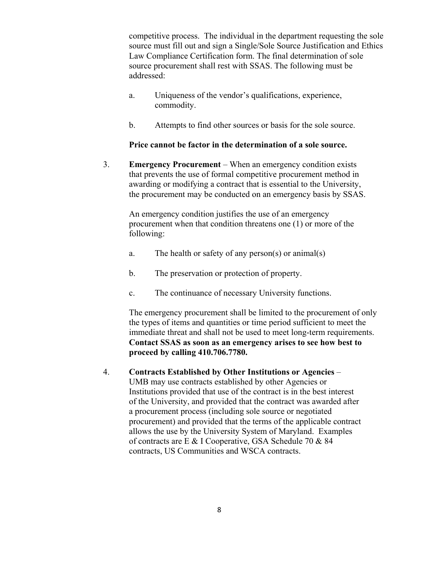competitive process. The individual in the department requesting the sole source must fill out and sign a Single/Sole Source Justification and Ethics Law Compliance Certification form. The final determination of sole source procurement shall rest with SSAS. The following must be addressed:

- a. Uniqueness of the vendor's qualifications, experience, commodity.
- b. Attempts to find other sources or basis for the sole source.

### **Price cannot be factor in the determination of a sole source.**

3. **Emergency Procurement** – When an emergency condition exists that prevents the use of formal competitive procurement method in awarding or modifying a contract that is essential to the University, the procurement may be conducted on an emergency basis by SSAS.

An emergency condition justifies the use of an emergency procurement when that condition threatens one (1) or more of the following:

- a. The health or safety of any person(s) or animal(s)
- b. The preservation or protection of property.
- c. The continuance of necessary University functions.

The emergency procurement shall be limited to the procurement of only the types of items and quantities or time period sufficient to meet the immediate threat and shall not be used to meet long-term requirements. **Contact SSAS as soon as an emergency arises to see how best to proceed by calling 410.706.7780.**

4. **Contracts Established by Other Institutions or Agencies** – UMB may use contracts established by other Agencies or Institutions provided that use of the contract is in the best interest of the University, and provided that the contract was awarded after a procurement process (including sole source or negotiated procurement) and provided that the terms of the applicable contract allows the use by the University System of Maryland. Examples of contracts are E & I Cooperative, GSA Schedule 70 & 84 contracts, US Communities and WSCA contracts.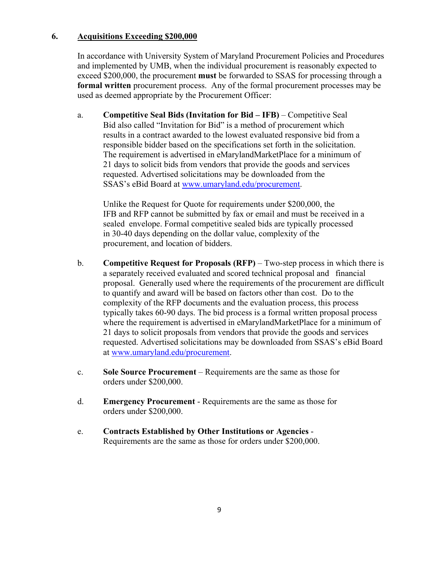### **6. Acquisitions Exceeding \$200,000**

<span id="page-8-0"></span>In accordance with University System of Maryland Procurement Policies and Procedures and implemented by UMB, when the individual procurement is reasonably expected to exceed \$200,000, the procurement **must** be forwarded to SSAS for processing through a **formal written** procurement process. Any of the formal procurement processes may be used as deemed appropriate by the Procurement Officer:

a. **Competitive Seal Bids (Invitation for Bid – IFB)** – Competitive Seal Bid also called "Invitation for Bid" is a method of procurement which results in a contract awarded to the lowest evaluated responsive bid from a responsible bidder based on the specifications set forth in the solicitation. The requirement is advertised in eMarylandMarketPlace for a minimum of 21 days to solicit bids from vendors that provide the goods and services requested. Advertised solicitations may be downloaded from the SSAS's eBid Board at [www.umaryland.edu/procurement.](http://www.umaryland.edu/procurement)

Unlike the Request for Quote for requirements under \$200,000, the IFB and RFP cannot be submitted by fax or email and must be received in a sealed envelope. Formal competitive sealed bids are typically processed in 30-40 days depending on the dollar value, complexity of the procurement, and location of bidders.

- b. **Competitive Request for Proposals (RFP)** Two-step process in which there is a separately received evaluated and scored technical proposal and financial proposal. Generally used where the requirements of the procurement are difficult to quantify and award will be based on factors other than cost. Do to the complexity of the RFP documents and the evaluation process, this process typically takes 60-90 days. The bid process is a formal written proposal process where the requirement is advertised in eMarylandMarketPlace for a minimum of 21 days to solicit proposals from vendors that provide the goods and services requested. Advertised solicitations may be downloaded from SSAS's eBid Board at [www.umaryland.edu/procurement.](http://www.umaryland.edu/procurement)
- c. **Sole Source Procurement** Requirements are the same as those for orders under \$200,000.
- d. **Emergency Procurement** Requirements are the same as those for orders under \$200,000.
- e. **Contracts Established by Other Institutions or Agencies**  Requirements are the same as those for orders under \$200,000.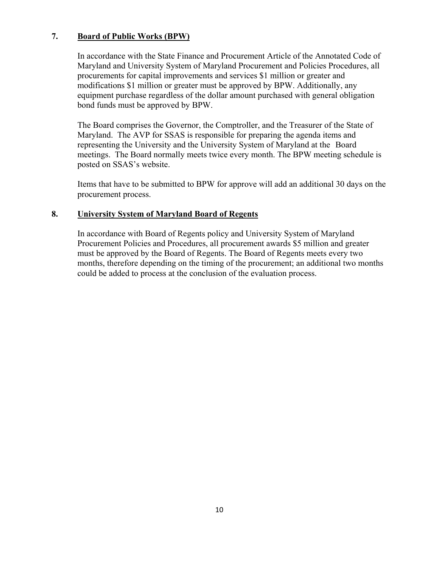### **7. Board of Public Works (BPW)**

<span id="page-9-0"></span>In accordance with the State Finance and Procurement Article of the Annotated Code of Maryland and University System of Maryland Procurement and Policies Procedures, all procurements for capital improvements and services \$1 million or greater and modifications \$1 million or greater must be approved by BPW. Additionally, any equipment purchase regardless of the dollar amount purchased with general obligation bond funds must be approved by BPW.

The Board comprises the Governor, the Comptroller, and the Treasurer of the State of Maryland. The AVP for SSAS is responsible for preparing the agenda items and representing the University and the University System of Maryland at the Board meetings. The Board normally meets twice every month. The BPW meeting schedule is posted on SSAS's website.

Items that have to be submitted to BPW for approve will add an additional 30 days on the procurement process.

### **8. University System of Maryland Board of Regents**

<span id="page-9-1"></span>In accordance with Board of Regents policy and University System of Maryland Procurement Policies and Procedures, all procurement awards \$5 million and greater must be approved by the Board of Regents. The Board of Regents meets every two months, therefore depending on the timing of the procurement; an additional two months could be added to process at the conclusion of the evaluation process.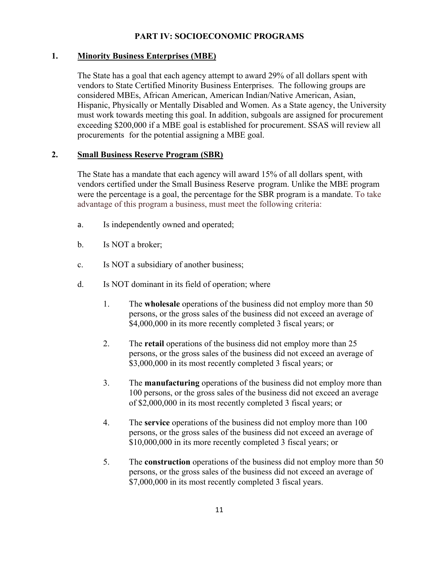### **PART IV: SOCIOECONOMIC PROGRAMS**

### <span id="page-10-0"></span>**1. Minority Business Enterprises (MBE)**

<span id="page-10-1"></span>The State has a goal that each agency attempt to award 29% of all dollars spent with vendors to State Certified Minority Business Enterprises. The following groups are considered MBEs, African American, American Indian/Native American, Asian, Hispanic, Physically or Mentally Disabled and Women. As a State agency, the University must work towards meeting this goal. In addition, subgoals are assigned for procurement exceeding \$200,000 if a MBE goal is established for procurement. SSAS will review all procurements for the potential assigning a MBE goal.

### **2. Small Business Reserve Program (SBR)**

<span id="page-10-2"></span>The State has a mandate that each agency will award 15% of all dollars spent, with vendors certified under the Small Business Reserve program. Unlike the MBE program were the percentage is a goal, the percentage for the SBR program is a mandate. To take advantage of this program a business, must meet the following criteria:

- a. Is independently owned and operated;
- b. Is NOT a broker;
- c. Is NOT a subsidiary of another business;
- d. Is NOT dominant in its field of operation; where
	- 1. The **wholesale** operations of the business did not employ more than 50 persons, or the gross sales of the business did not exceed an average of \$4,000,000 in its more recently completed 3 fiscal years; or
	- 2. The **retail** operations of the business did not employ more than 25 persons, or the gross sales of the business did not exceed an average of \$3,000,000 in its most recently completed 3 fiscal years; or
	- 3. The **manufacturing** operations of the business did not employ more than 100 persons, or the gross sales of the business did not exceed an average of \$2,000,000 in its most recently completed 3 fiscal years; or
	- 4. The **service** operations of the business did not employ more than 100 persons, or the gross sales of the business did not exceed an average of \$10,000,000 in its more recently completed 3 fiscal years; or
	- 5. The **construction** operations of the business did not employ more than 50 persons, or the gross sales of the business did not exceed an average of \$7,000,000 in its most recently completed 3 fiscal years.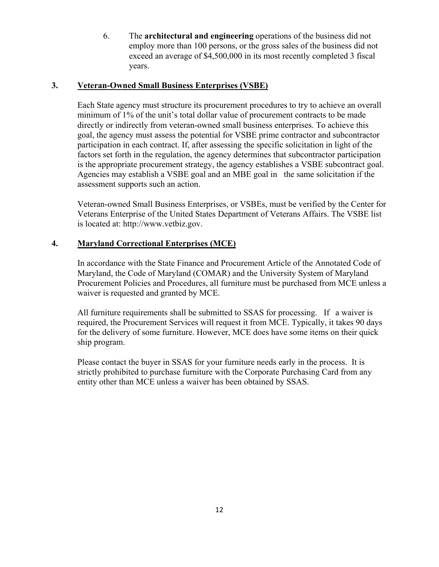6. The **architectural and engineering** operations of the business did not employ more than 100 persons, or the gross sales of the business did not exceed an average of \$4,500,000 in its most recently completed 3 fiscal years.

## **3. Veteran-Owned Small Business Enterprises (VSBE)**

<span id="page-11-0"></span>Each State agency must structure its procurement procedures to try to achieve an overall minimum of 1% of the unit's total dollar value of procurement contracts to be made directly or indirectly from veteran-owned small business enterprises. To achieve this goal, the agency must assess the potential for VSBE prime contractor and subcontractor participation in each contract. If, after assessing the specific solicitation in light of the factors set forth in the regulation, the agency determines that subcontractor participation is the appropriate procurement strategy, the agency establishes a VSBE subcontract goal. Agencies may establish a VSBE goal and an MBE goal in the same solicitation if the assessment supports such an action.

Veteran-owned Small Business Enterprises, or VSBEs, must be verified by the Center for Veterans Enterprise of the United States Department of Veterans Affairs. The VSBE list is located at: http://www.vetbiz.gov.

## **4. Maryland Correctional Enterprises (MCE)**

<span id="page-11-1"></span>In accordance with the State Finance and Procurement Article of the Annotated Code of Maryland, the Code of Maryland (COMAR) and the University System of Maryland Procurement Policies and Procedures, all furniture must be purchased from MCE unless a waiver is requested and granted by MCE.

All furniture requirements shall be submitted to SSAS for processing. If a waiver is required, the Procurement Services will request it from MCE. Typically, it takes 90 days for the delivery of some furniture. However, MCE does have some items on their quick ship program.

Please contact the buyer in SSAS for your furniture needs early in the process. It is strictly prohibited to purchase furniture with the Corporate Purchasing Card from any entity other than MCE unless a waiver has been obtained by SSAS.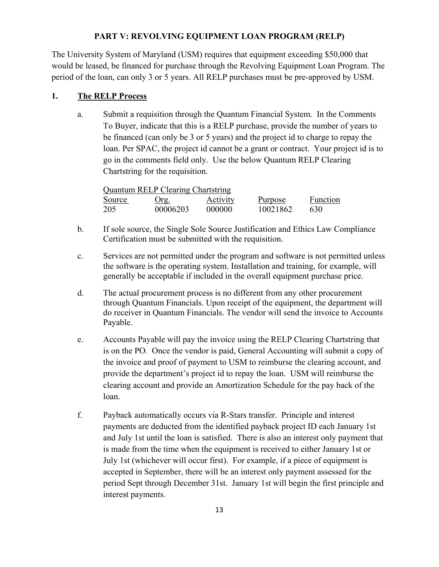### **PART V: REVOLVING EQUIPMENT LOAN PROGRAM (RELP)**

<span id="page-12-0"></span>The University System of Maryland (USM) requires that equipment exceeding \$50,000 that would be leased, be financed for purchase through the Revolving Equipment Loan Program. The period of the loan, can only 3 or 5 years. All RELP purchases must be pre-approved by USM.

#### **1. The RELP Process**

<span id="page-12-1"></span>a. Submit a requisition through the Quantum Financial System. In the Comments To Buyer, indicate that this is a RELP purchase, provide the number of years to be financed (can only be 3 or 5 years) and the project id to charge to repay the loan. Per SPAC, the project id cannot be a grant or contract. Your project id is to go in the comments field only. Use the below Quantum RELP Clearing Chartstring for the requisition.

|        | <b>Quantum RELP Clearing Chartstring</b> |                 |          |          |
|--------|------------------------------------------|-----------------|----------|----------|
| Source | <u>Org.</u>                              | <b>Activity</b> | Purpose  | Function |
| 205    | 00006203                                 | 000000          | 10021862 | 630      |

- b. If sole source, the Single Sole Source Justification and Ethics Law Compliance Certification must be submitted with the requisition.
- c. Services are not permitted under the program and software is not permitted unless the software is the operating system. Installation and training, for example, will generally be acceptable if included in the overall equipment purchase price.
- d. The actual procurement process is no different from any other procurement through Quantum Financials. Upon receipt of the equipment, the department will do receiver in Quantum Financials. The vendor will send the invoice to Accounts Payable.
- e. Accounts Payable will pay the invoice using the RELP Clearing Chartstring that is on the PO. Once the vendor is paid, General Accounting will submit a copy of the invoice and proof of payment to USM to reimburse the clearing account, and provide the department's project id to repay the loan. USM will reimburse the clearing account and provide an Amortization Schedule for the pay back of the loan.
- f. Payback automatically occurs via R-Stars transfer. Principle and interest payments are deducted from the identified payback project ID each January 1st and July 1st until the loan is satisfied. There is also an interest only payment that is made from the time when the equipment is received to either January 1st or July 1st (whichever will occur first). For example, if a piece of equipment is accepted in September, there will be an interest only payment assessed for the period Sept through December 31st. January 1st will begin the first principle and interest payments.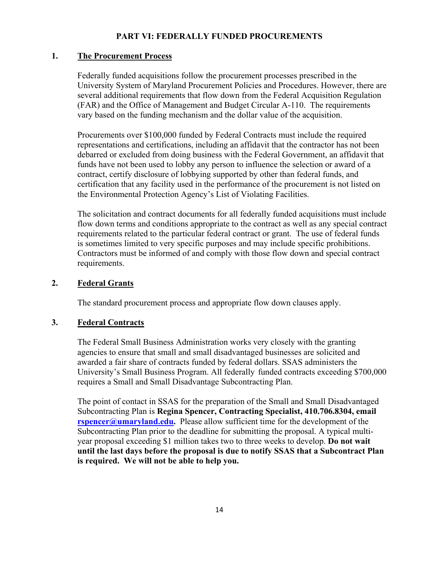### **PART VI: FEDERALLY FUNDED PROCUREMENTS**

### <span id="page-13-0"></span>**1. The Procurement Process**

<span id="page-13-1"></span>Federally funded acquisitions follow the procurement processes prescribed in the University System of Maryland Procurement Policies and Procedures. However, there are several additional requirements that flow down from the Federal Acquisition Regulation (FAR) and the Office of Management and Budget Circular A-110. The requirements vary based on the funding mechanism and the dollar value of the acquisition.

Procurements over \$100,000 funded by Federal Contracts must include the required representations and certifications, including an affidavit that the contractor has not been debarred or excluded from doing business with the Federal Government, an affidavit that funds have not been used to lobby any person to influence the selection or award of a contract, certify disclosure of lobbying supported by other than federal funds, and certification that any facility used in the performance of the procurement is not listed on the Environmental Protection Agency's List of Violating Facilities.

The solicitation and contract documents for all federally funded acquisitions must include flow down terms and conditions appropriate to the contract as well as any special contract requirements related to the particular federal contract or grant. The use of federal funds is sometimes limited to very specific purposes and may include specific prohibitions. Contractors must be informed of and comply with those flow down and special contract requirements.

### **2. Federal Grants**

<span id="page-13-3"></span><span id="page-13-2"></span>The standard procurement process and appropriate flow down clauses apply.

#### **3. Federal Contracts**

The Federal Small Business Administration works very closely with the granting agencies to ensure that small and small disadvantaged businesses are solicited and awarded a fair share of contracts funded by federal dollars. SSAS administers the University's Small Business Program. All federally funded contracts exceeding \$700,000 requires a Small and Small Disadvantage Subcontracting Plan.

The point of contact in SSAS for the preparation of the Small and Small Disadvantaged Subcontracting Plan is **Regina Spencer, Contracting Specialist, 410.706.8304, email [rspencer@umaryland.edu.](mailto:rspencer@umaryland.edu)** Please allow sufficient time for the development of the Subcontracting Plan prior to the deadline for submitting the proposal. A typical multiyear proposal exceeding \$1 million takes two to three weeks to develop. **Do not wait until the last days before the proposal is due to notify SSAS that a Subcontract Plan is required. We will not be able to help you.**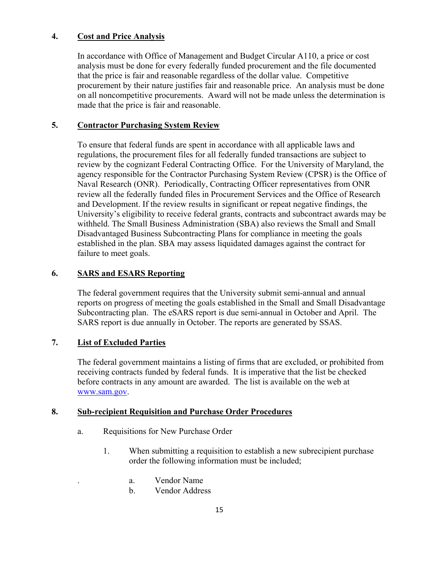### **4. Cost and Price Analysis**

<span id="page-14-0"></span>In accordance with Office of Management and Budget Circular A110, a price or cost analysis must be done for every federally funded procurement and the file documented that the price is fair and reasonable regardless of the dollar value. Competitive procurement by their nature justifies fair and reasonable price. An analysis must be done on all noncompetitive procurements. Award will not be made unless the determination is made that the price is fair and reasonable.

### **5. Contractor Purchasing System Review**

<span id="page-14-1"></span>To ensure that federal funds are spent in accordance with all applicable laws and regulations, the procurement files for all federally funded transactions are subject to review by the cognizant Federal Contracting Office. For the University of Maryland, the agency responsible for the Contractor Purchasing System Review (CPSR) is the Office of Naval Research (ONR). Periodically, Contracting Officer representatives from ONR review all the federally funded files in Procurement Services and the Office of Research and Development. If the review results in significant or repeat negative findings, the University's eligibility to receive federal grants, contracts and subcontract awards may be withheld. The Small Business Administration (SBA) also reviews the Small and Small Disadvantaged Business Subcontracting Plans for compliance in meeting the goals established in the plan. SBA may assess liquidated damages against the contract for failure to meet goals.

### **6. SARS and ESARS Reporting**

<span id="page-14-2"></span>The federal government requires that the University submit semi-annual and annual reports on progress of meeting the goals established in the Small and Small Disadvantage Subcontracting plan. The eSARS report is due semi-annual in October and April. The SARS report is due annually in October. The reports are generated by SSAS.

## **7. List of Excluded Parties**

<span id="page-14-3"></span>The federal government maintains a listing of firms that are excluded, or prohibited from receiving contracts funded by federal funds. It is imperative that the list be checked before contracts in any amount are awarded. The list is available on the web at [www.sam.gov.](http://www.sam.gov/)

### **8. Sub-recipient Requisition and Purchase Order Procedures**

- <span id="page-14-4"></span>a. Requisitions for New Purchase Order
	- 1. When submitting a requisition to establish a new subrecipient purchase order the following information must be included;
		- . a. Vendor Name
		- b. Vendor Address